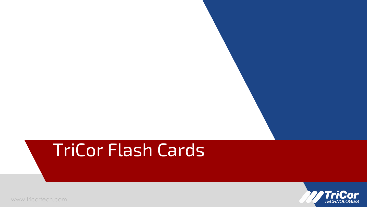# TriCor Flash Cards

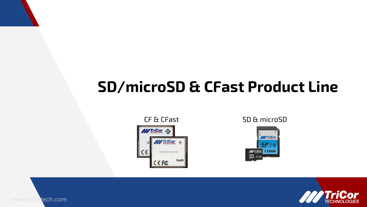# **SD/microSD & CFast Product Line**





CF & CFast SD & microSD



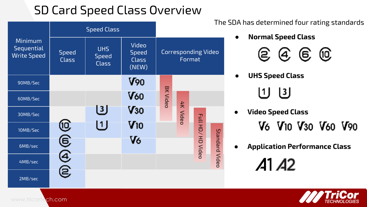### SD Card Speed Class Overview



The SDA has determined four rating standards

**● Normal Speed Class**



- **● UHS Speed Class**
	- $\left\lfloor 1 \right\rfloor$   $\left\lfloor 3 \right\rfloor$
- **● Video Speed Class**
	- V<sub>6</sub> V<sub>10</sub> V<sub>30</sub> V<sub>60</sub> V<sub>90</sub>
- **● Application Performance Class** $A1A2$

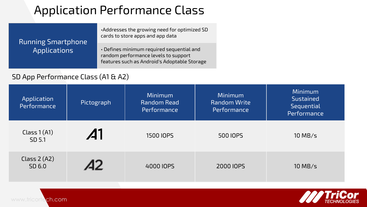## Application Performance Class

•Addresses the growing need for optimized SD cards to store apps and app data

#### Running Smartphone Applications

• Defines minimum required sequential and random performance levels to support features such as Android's Adoptable Storage

#### SD App Performance Class (A1 & A2)

| Application<br>Performance | Pictograph      | <b>Minimum</b><br>Random Read<br>Performance | <b>Minimum</b><br><b>Random Write</b><br>Performance | <b>Minimum</b><br><b>Sustained</b><br>Sequential<br>Performance |
|----------------------------|-----------------|----------------------------------------------|------------------------------------------------------|-----------------------------------------------------------------|
| Class $1(A1)$<br>SD 5.1    | $\mathcal{A}$ l | 1500 IOPS                                    | 500 IOPS                                             | $10$ MB/s                                                       |
| Class $2(A2)$<br>SD 6.0    |                 | 4000 IOPS                                    | 2000 IOPS                                            | $10$ MB/s                                                       |

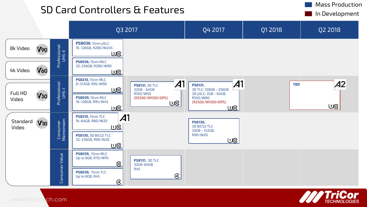# SD Card Controllers & Features Index Controllers and The Mass Production



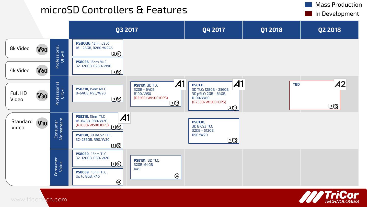# microSD Controllers & Features Internation Mass Production



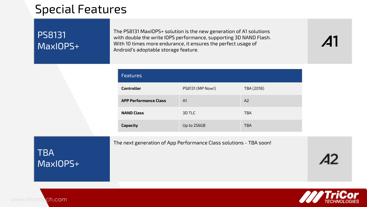### Special Features

#### PS8131 MaxIOPS+

The PS8131 MaxIOPS+ solution is the new generation of A1 solutions with double the write IOPS performance, supporting 3D NAND Flash. With 10 times more endurance, it ensures the perfect usage of Android's adoptable storage feature.

| <b>Features</b>              |                  |            |
|------------------------------|------------------|------------|
| <b>Controller</b>            | PS8131 (MP Now!) | TBA (2018) |
| <b>APP Performance Class</b> | A1               | A2         |
| <b>NAND Class</b>            | 3D TLC           | <b>TBA</b> |
| Capacity                     | Up to 256GB      | <b>TBA</b> |

The next generation of App Performance Class solutions - TBA soon!

**TBA** MaxIOPS+

www.tricortech.com



 $\mathcal{A}1$